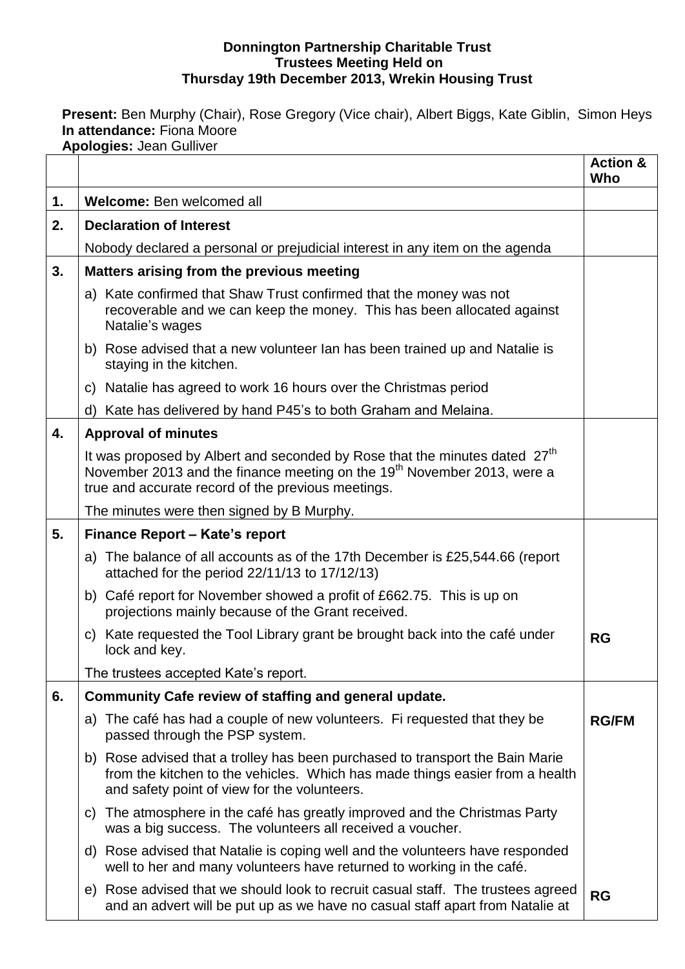#### **Donnington Partnership Charitable Trust Trustees Meeting Held on Thursday 19th December 2013, Wrekin Housing Trust**

**Present:** Ben Murphy (Chair), Rose Gregory (Vice chair), Albert Biggs, Kate Giblin, Simon Heys **In attendance:** Fiona Moore **Apologies:** Jean Gulliver

|    | Apologius. ocan Odilivci                                                                                                                                                                                                            | <b>Action &amp;</b><br>Who |
|----|-------------------------------------------------------------------------------------------------------------------------------------------------------------------------------------------------------------------------------------|----------------------------|
| 1. | Welcome: Ben welcomed all                                                                                                                                                                                                           |                            |
| 2. | <b>Declaration of Interest</b>                                                                                                                                                                                                      |                            |
|    | Nobody declared a personal or prejudicial interest in any item on the agenda                                                                                                                                                        |                            |
| 3. | Matters arising from the previous meeting                                                                                                                                                                                           |                            |
|    | a) Kate confirmed that Shaw Trust confirmed that the money was not<br>recoverable and we can keep the money. This has been allocated against<br>Natalie's wages                                                                     |                            |
|    | b) Rose advised that a new volunteer Ian has been trained up and Natalie is<br>staying in the kitchen.                                                                                                                              |                            |
|    | c) Natalie has agreed to work 16 hours over the Christmas period                                                                                                                                                                    |                            |
|    | d) Kate has delivered by hand P45's to both Graham and Melaina.                                                                                                                                                                     |                            |
| 4. | <b>Approval of minutes</b>                                                                                                                                                                                                          |                            |
|    | It was proposed by Albert and seconded by Rose that the minutes dated 27 <sup>th</sup><br>November 2013 and the finance meeting on the 19 <sup>th</sup> November 2013, were a<br>true and accurate record of the previous meetings. |                            |
|    | The minutes were then signed by B Murphy.                                                                                                                                                                                           |                            |
| 5. | Finance Report - Kate's report                                                                                                                                                                                                      |                            |
|    | a) The balance of all accounts as of the 17th December is £25,544.66 (report<br>attached for the period 22/11/13 to 17/12/13)                                                                                                       |                            |
|    | b) Café report for November showed a profit of £662.75. This is up on<br>projections mainly because of the Grant received.                                                                                                          |                            |
|    | c) Kate requested the Tool Library grant be brought back into the café under<br>lock and key.                                                                                                                                       | RG                         |
|    | The trustees accepted Kate's report.                                                                                                                                                                                                |                            |
| 6. | Community Cafe review of staffing and general update.                                                                                                                                                                               |                            |
|    | a) The café has had a couple of new volunteers. Fi requested that they be<br>passed through the PSP system.                                                                                                                         | <b>RG/FM</b>               |
|    | b) Rose advised that a trolley has been purchased to transport the Bain Marie<br>from the kitchen to the vehicles. Which has made things easier from a health<br>and safety point of view for the volunteers.                       |                            |
|    | The atmosphere in the café has greatly improved and the Christmas Party<br>C)<br>was a big success. The volunteers all received a voucher.                                                                                          |                            |
|    | d) Rose advised that Natalie is coping well and the volunteers have responded<br>well to her and many volunteers have returned to working in the café.                                                                              |                            |
|    | e) Rose advised that we should look to recruit casual staff. The trustees agreed<br>and an advert will be put up as we have no casual staff apart from Natalie at                                                                   | <b>RG</b>                  |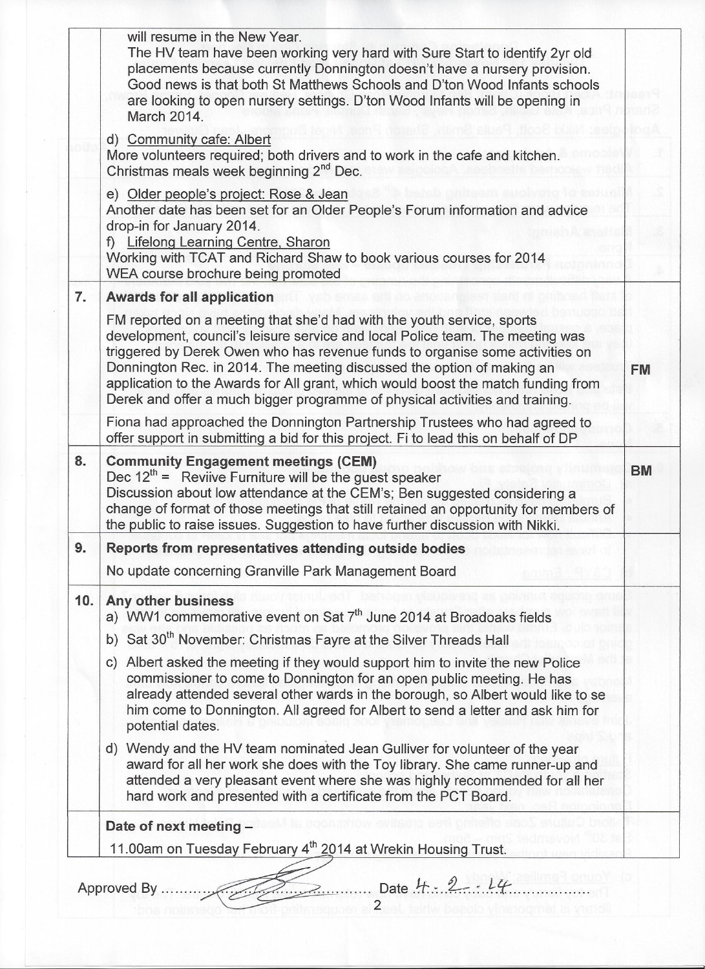|     | will resume in the New Year.<br>The HV team have been working very hard with Sure Start to identify 2yr old<br>placements because currently Donnington doesn't have a nursery provision.<br>Good news is that both St Matthews Schools and D'ton Wood Infants schools<br>are looking to open nursery settings. D'ton Wood Infants will be opening in<br>March 2014.                                                                                                                    |           |
|-----|----------------------------------------------------------------------------------------------------------------------------------------------------------------------------------------------------------------------------------------------------------------------------------------------------------------------------------------------------------------------------------------------------------------------------------------------------------------------------------------|-----------|
|     | d) Community cafe: Albert<br>More volunteers required; both drivers and to work in the cafe and kitchen.<br>Christmas meals week beginning 2 <sup>nd</sup> Dec.                                                                                                                                                                                                                                                                                                                        |           |
|     | e) Older people's project: Rose & Jean<br>Another date has been set for an Older People's Forum information and advice<br>drop-in for January 2014.<br>f) Lifelong Learning Centre, Sharon<br>Working with TCAT and Richard Shaw to book various courses for 2014<br>WEA course brochure being promoted                                                                                                                                                                                |           |
| 7.  | <b>Awards for all application</b>                                                                                                                                                                                                                                                                                                                                                                                                                                                      |           |
|     | FM reported on a meeting that she'd had with the youth service, sports<br>development, council's leisure service and local Police team. The meeting was<br>triggered by Derek Owen who has revenue funds to organise some activities on<br>Donnington Rec. in 2014. The meeting discussed the option of making an<br>application to the Awards for All grant, which would boost the match funding from<br>Derek and offer a much bigger programme of physical activities and training. | <b>FM</b> |
|     | Fiona had approached the Donnington Partnership Trustees who had agreed to<br>offer support in submitting a bid for this project. Fi to lead this on behalf of DP                                                                                                                                                                                                                                                                                                                      |           |
| 8.  | <b>Community Engagement meetings (CEM)</b><br>Dec $12^{th}$ = Reviive Furniture will be the guest speaker<br>Discussion about low attendance at the CEM's; Ben suggested considering a<br>change of format of those meetings that still retained an opportunity for members of<br>the public to raise issues. Suggestion to have further discussion with Nikki.                                                                                                                        | <b>BM</b> |
| 9.  | Reports from representatives attending outside bodies                                                                                                                                                                                                                                                                                                                                                                                                                                  |           |
|     | No update concerning Granville Park Management Board                                                                                                                                                                                                                                                                                                                                                                                                                                   |           |
| 10. | Any other business<br>a) WW1 commemorative event on Sat 7 <sup>th</sup> June 2014 at Broadoaks fields                                                                                                                                                                                                                                                                                                                                                                                  |           |
|     | b) Sat 30 <sup>th</sup> November: Christmas Fayre at the Silver Threads Hall                                                                                                                                                                                                                                                                                                                                                                                                           |           |
|     | c) Albert asked the meeting if they would support him to invite the new Police<br>commissioner to come to Donnington for an open public meeting. He has<br>already attended several other wards in the borough, so Albert would like to se<br>him come to Donnington. All agreed for Albert to send a letter and ask him for<br>potential dates.                                                                                                                                       |           |
|     | d) Wendy and the HV team nominated Jean Gulliver for volunteer of the year<br>award for all her work she does with the Toy library. She came runner-up and<br>attended a very pleasant event where she was highly recommended for all her<br>hard work and presented with a certificate from the PCT Board.                                                                                                                                                                            |           |
|     | Date of next meeting -                                                                                                                                                                                                                                                                                                                                                                                                                                                                 |           |
|     | 11.00am on Tuesday February 4 <sup>th</sup> 2014 at Wrekin Housing Trust.                                                                                                                                                                                                                                                                                                                                                                                                              |           |